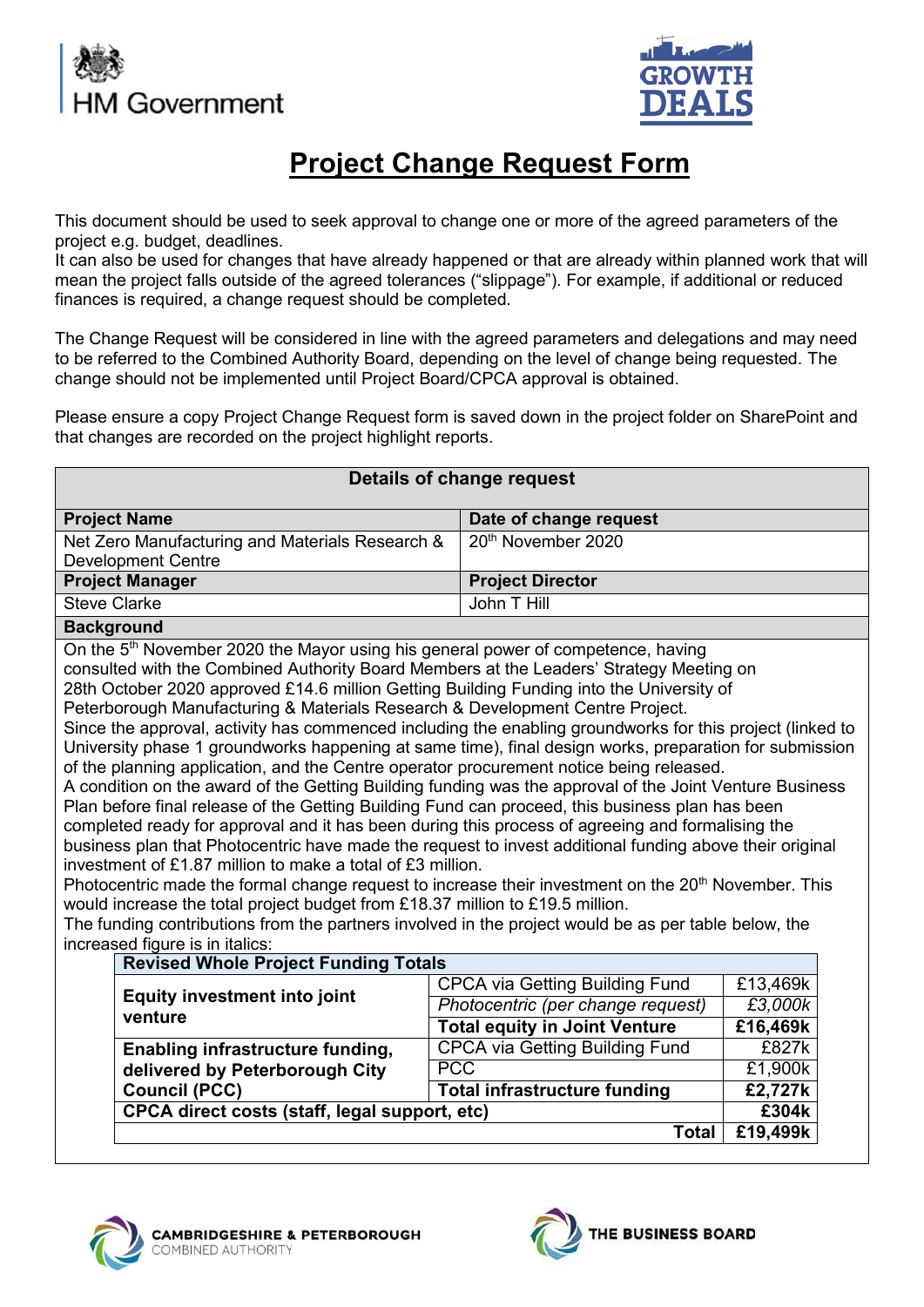



# **Project Change Request Form**

This document should be used to seek approval to change one or more of the agreed parameters of the project e.g. budget, deadlines.

It can also be used for changes that have already happened or that are already within planned work that will mean the project falls outside of the agreed tolerances ("slippage"). For example, if additional or reduced finances is required, a change request should be completed.

The Change Request will be considered in line with the agreed parameters and delegations and may need to be referred to the Combined Authority Board, depending on the level of change being requested. The change should not be implemented until Project Board/CPCA approval is obtained.

Please ensure a copy Project Change Request form is saved down in the project folder on SharePoint and that changes are recorded on the project highlight reports.

| Details of change request                                                                                                                                                                                                                                                                                                                                                                                                                                                                                                                                                                                                                                                                                                                                                                                                                                                                                                                                                                                                                                                                                                                                                                                                                                                                                                                                                                                                                                                                                                        |                     |  |  |  |
|----------------------------------------------------------------------------------------------------------------------------------------------------------------------------------------------------------------------------------------------------------------------------------------------------------------------------------------------------------------------------------------------------------------------------------------------------------------------------------------------------------------------------------------------------------------------------------------------------------------------------------------------------------------------------------------------------------------------------------------------------------------------------------------------------------------------------------------------------------------------------------------------------------------------------------------------------------------------------------------------------------------------------------------------------------------------------------------------------------------------------------------------------------------------------------------------------------------------------------------------------------------------------------------------------------------------------------------------------------------------------------------------------------------------------------------------------------------------------------------------------------------------------------|---------------------|--|--|--|
| <b>Project Name</b><br>Date of change request                                                                                                                                                                                                                                                                                                                                                                                                                                                                                                                                                                                                                                                                                                                                                                                                                                                                                                                                                                                                                                                                                                                                                                                                                                                                                                                                                                                                                                                                                    |                     |  |  |  |
| 20 <sup>th</sup> November 2020<br>Net Zero Manufacturing and Materials Research &<br><b>Development Centre</b>                                                                                                                                                                                                                                                                                                                                                                                                                                                                                                                                                                                                                                                                                                                                                                                                                                                                                                                                                                                                                                                                                                                                                                                                                                                                                                                                                                                                                   |                     |  |  |  |
| <b>Project Manager</b><br><b>Project Director</b>                                                                                                                                                                                                                                                                                                                                                                                                                                                                                                                                                                                                                                                                                                                                                                                                                                                                                                                                                                                                                                                                                                                                                                                                                                                                                                                                                                                                                                                                                |                     |  |  |  |
| <b>Steve Clarke</b><br>John T Hill                                                                                                                                                                                                                                                                                                                                                                                                                                                                                                                                                                                                                                                                                                                                                                                                                                                                                                                                                                                                                                                                                                                                                                                                                                                                                                                                                                                                                                                                                               |                     |  |  |  |
| <b>Background</b>                                                                                                                                                                                                                                                                                                                                                                                                                                                                                                                                                                                                                                                                                                                                                                                                                                                                                                                                                                                                                                                                                                                                                                                                                                                                                                                                                                                                                                                                                                                |                     |  |  |  |
| On the 5 <sup>th</sup> November 2020 the Mayor using his general power of competence, having<br>consulted with the Combined Authority Board Members at the Leaders' Strategy Meeting on<br>28th October 2020 approved £14.6 million Getting Building Funding into the University of<br>Peterborough Manufacturing & Materials Research & Development Centre Project.<br>Since the approval, activity has commenced including the enabling groundworks for this project (linked to<br>University phase 1 groundworks happening at same time), final design works, preparation for submission<br>of the planning application, and the Centre operator procurement notice being released.<br>A condition on the award of the Getting Building funding was the approval of the Joint Venture Business<br>Plan before final release of the Getting Building Fund can proceed, this business plan has been<br>completed ready for approval and it has been during this process of agreeing and formalising the<br>business plan that Photocentric have made the request to invest additional funding above their original<br>investment of £1.87 million to make a total of £3 million.<br>Photocentric made the formal change request to increase their investment on the 20 <sup>th</sup> November. This<br>would increase the total project budget from £18.37 million to £19.5 million.<br>The funding contributions from the partners involved in the project would be as per table below, the<br>increased figure is in italics: |                     |  |  |  |
| <b>Revised Whole Project Funding Totals</b>                                                                                                                                                                                                                                                                                                                                                                                                                                                                                                                                                                                                                                                                                                                                                                                                                                                                                                                                                                                                                                                                                                                                                                                                                                                                                                                                                                                                                                                                                      |                     |  |  |  |
| <b>CPCA via Getting Building Fund</b><br><b>Equity investment into joint</b>                                                                                                                                                                                                                                                                                                                                                                                                                                                                                                                                                                                                                                                                                                                                                                                                                                                                                                                                                                                                                                                                                                                                                                                                                                                                                                                                                                                                                                                     | £13,469k<br>£3,000k |  |  |  |
| Photocentric (per change request)<br>venture                                                                                                                                                                                                                                                                                                                                                                                                                                                                                                                                                                                                                                                                                                                                                                                                                                                                                                                                                                                                                                                                                                                                                                                                                                                                                                                                                                                                                                                                                     |                     |  |  |  |
| <b>Total equity in Joint Venture</b><br><b>CPCA via Getting Building Fund</b>                                                                                                                                                                                                                                                                                                                                                                                                                                                                                                                                                                                                                                                                                                                                                                                                                                                                                                                                                                                                                                                                                                                                                                                                                                                                                                                                                                                                                                                    | £16,469k<br>£827k   |  |  |  |
| Enabling infrastructure funding,<br><b>PCC</b>                                                                                                                                                                                                                                                                                                                                                                                                                                                                                                                                                                                                                                                                                                                                                                                                                                                                                                                                                                                                                                                                                                                                                                                                                                                                                                                                                                                                                                                                                   | £1,900k             |  |  |  |
| delivered by Peterborough City<br><b>Total infrastructure funding</b><br><b>Council (PCC)</b>                                                                                                                                                                                                                                                                                                                                                                                                                                                                                                                                                                                                                                                                                                                                                                                                                                                                                                                                                                                                                                                                                                                                                                                                                                                                                                                                                                                                                                    | £2,727k             |  |  |  |
| CPCA direct costs (staff, legal support, etc)                                                                                                                                                                                                                                                                                                                                                                                                                                                                                                                                                                                                                                                                                                                                                                                                                                                                                                                                                                                                                                                                                                                                                                                                                                                                                                                                                                                                                                                                                    | £304k               |  |  |  |
| <b>Total</b>                                                                                                                                                                                                                                                                                                                                                                                                                                                                                                                                                                                                                                                                                                                                                                                                                                                                                                                                                                                                                                                                                                                                                                                                                                                                                                                                                                                                                                                                                                                     | £19,499k            |  |  |  |



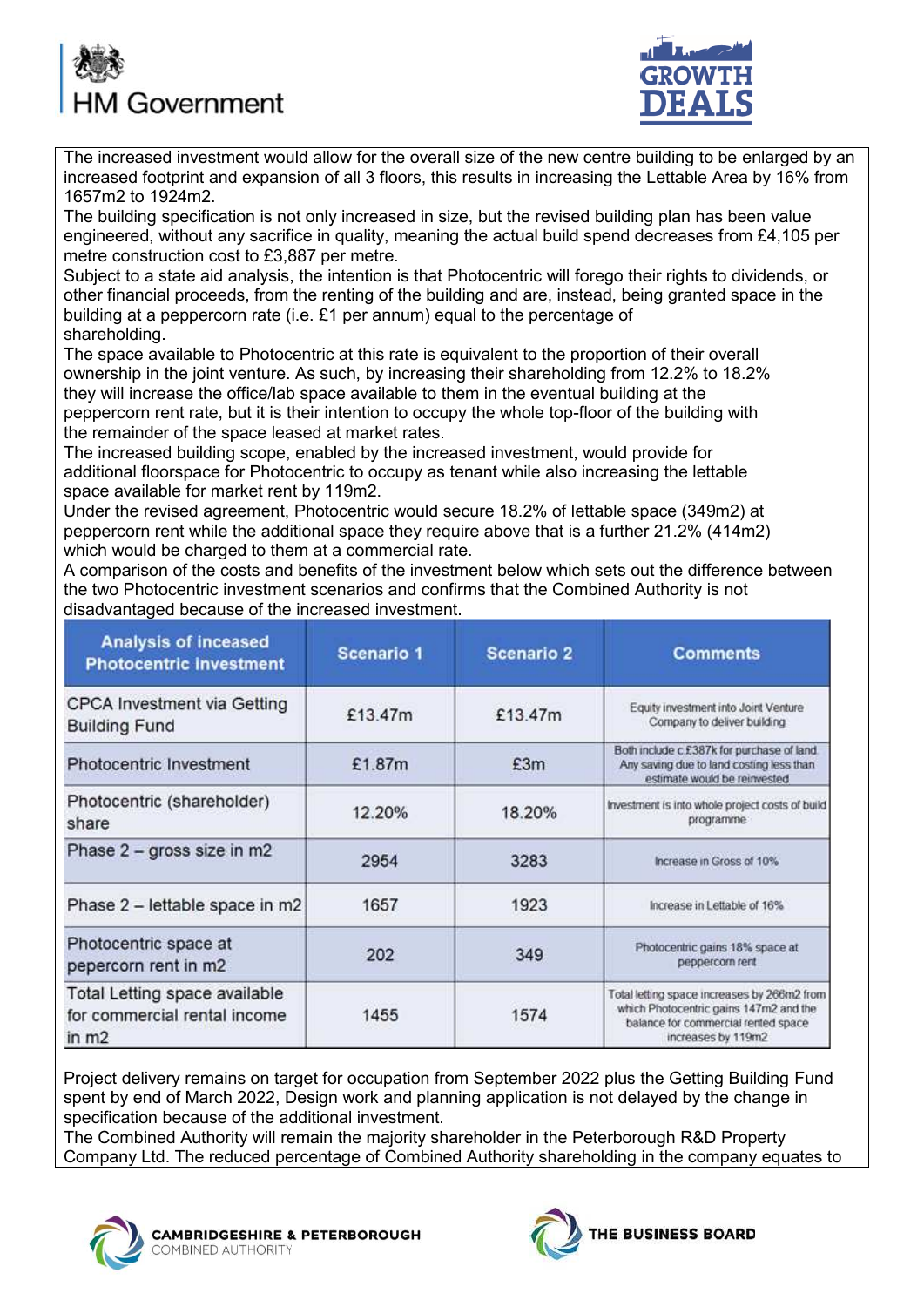



The increased investment would allow for the overall size of the new centre building to be enlarged by an increased footprint and expansion of all 3 floors, this results in increasing the Lettable Area by 16% from 1657m2 to 1924m2.

The building specification is not only increased in size, but the revised building plan has been value engineered, without any sacrifice in quality, meaning the actual build spend decreases from £4,105 per metre construction cost to £3,887 per metre.

Subject to a state aid analysis, the intention is that Photocentric will forego their rights to dividends, or other financial proceeds, from the renting of the building and are, instead, being granted space in the building at a peppercorn rate (i.e. £1 per annum) equal to the percentage of shareholding.

The space available to Photocentric at this rate is equivalent to the proportion of their overall ownership in the joint venture. As such, by increasing their shareholding from 12.2% to 18.2% they will increase the office/lab space available to them in the eventual building at the peppercorn rent rate, but it is their intention to occupy the whole top-floor of the building with the remainder of the space leased at market rates.

The increased building scope, enabled by the increased investment, would provide for additional floorspace for Photocentric to occupy as tenant while also increasing the lettable space available for market rent by 119m2.

Under the revised agreement, Photocentric would secure 18.2% of lettable space (349m2) at peppercorn rent while the additional space they require above that is a further 21.2% (414m2) which would be charged to them at a commercial rate.

A comparison of the costs and benefits of the investment below which sets out the difference between the two Photocentric investment scenarios and confirms that the Combined Authority is not disadvantaged because of the increased investment.

| <b>Analysis of inceased</b><br><b>Photocentric investment</b>            | Scenario 1 | <b>Scenario 2</b> | <b>Comments</b>                                                                                                                                    |  |
|--------------------------------------------------------------------------|------------|-------------------|----------------------------------------------------------------------------------------------------------------------------------------------------|--|
| CPCA Investment via Getting<br><b>Building Fund</b>                      | £13.47m    | £13.47m           | Equity investment into Joint Venture<br>Company to deliver building                                                                                |  |
| Photocentric Investment                                                  | £1.87m     | £3m               | Both include c.£387k for purchase of land.<br>Any saving due to land costing less than<br>estimate would be reinvested                             |  |
| Photocentric (shareholder)<br>share                                      | 12.20%     | 18.20%            | Investment is into whole project costs of build<br>programme                                                                                       |  |
| Phase 2 - gross size in m2                                               | 2954       | 3283              | Increase in Gross of 10%                                                                                                                           |  |
| Phase 2 - lettable space in m2                                           | 1657       | 1923              | Increase in Lettable of 16%                                                                                                                        |  |
| Photocentric space at<br>pepercorn rent in m2                            | 202        | 349               | Photocentric gains 18% space at<br>peppercorn rent                                                                                                 |  |
| Total Letting space available<br>for commercial rental income<br>in $m2$ | 1455       | 1574              | Total letting space increases by 266m2 from<br>which Photocentric gains 147m2 and the<br>balance for commercial rented space<br>increases by 119m2 |  |

Project delivery remains on target for occupation from September 2022 plus the Getting Building Fund spent by end of March 2022, Design work and planning application is not delayed by the change in specification because of the additional investment.

The Combined Authority will remain the majority shareholder in the Peterborough R&D Property Company Ltd. The reduced percentage of Combined Authority shareholding in the company equates to